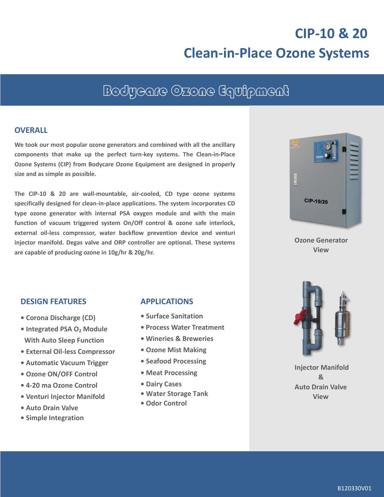# **CIP-10 & 20 Clean-in-Place Ozone Systems**

## Bodycare Ozone Equipment

#### **OVERALL**

**We took our most popular ozone generators and combined with all the ancillary components that make up the perfect turn-key systems. The Clean-in-Place Ozone Systems (CIP) from Bodycare Ozone Equipment are designed in properly size and as simple as possible.**

**The CIP-10 & 20 are wall-mountable, air-cooled, CD type ozone systems specifically designed for clean-in-place applications. The system incorporates CD type ozone generator with internal PSA oxygen module and with the main function of vacuum triggered system On/Off control & ozone safe interlock, external oil-less compressor, water backflow prevention device and venturi injector manifold. Degas valve and ORP controller are optional. These systems are capable of producing ozone in 10g/hr & 20g/hr.**



**Ozone Generator View**

#### **DESIGN FEATURES**

- **Corona Discharge (CD)**
- **Integrated PSA O<sup>2</sup> Module With Auto Sleep Function**
- **• External Oil-less Compressor**
- **Automatic Vacuum Trigger**
- **Ozone ON/OFF Control**
- **• 4-20 ma Ozone Control**
- **• Venturi Injector Manifold**
- **• Auto Drain Valve**
- **• Simple Integration**

#### **APPLICATIONS**

- **Surface Sanitation**
- **• Process Water Treatment**
- **• Wineries & Breweries**
- **• Ozone Mist Making**
- **• Seafood Processing**
- **Meat Processing**
- **• Dairy Cases**
- **• Water Storage Tank**
- **• Odor Control**



**Injector Manifold & Auto Drain Valve View**